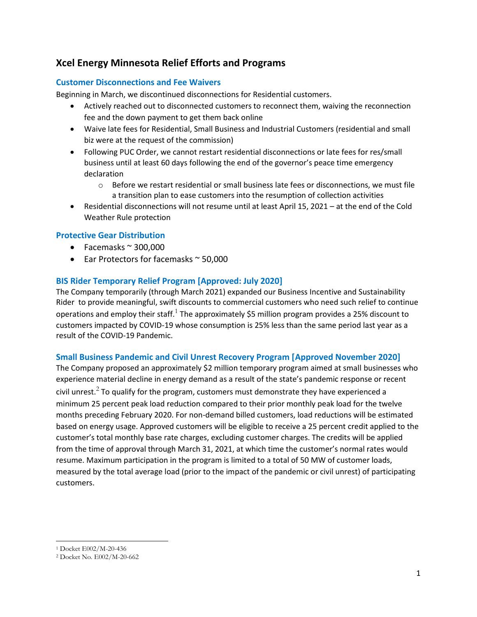# **Xcel Energy Minnesota Relief Efforts and Programs**

# **Customer Disconnections and Fee Waivers**

Beginning in March, we discontinued disconnections for Residential customers.

- Actively reached out to disconnected customers to reconnect them, waiving the reconnection fee and the down payment to get them back online
- Waive late fees for Residential, Small Business and Industrial Customers (residential and small biz were at the request of the commission)
- Following PUC Order, we cannot restart residential disconnections or late fees for res/small business until at least 60 days following the end of the governor's peace time emergency declaration
	- $\circ$  Before we restart residential or small business late fees or disconnections, we must file a transition plan to ease customers into the resumption of collection activities
- Residential disconnections will not resume until at least April 15, 2021 at the end of the Cold Weather Rule protection

# **Protective Gear Distribution**

- Facemasks  $\approx$  300,000
- Ear Protectors for facemasks ~ 50,000

# **BIS Rider Temporary Relief Program [Approved: July 2020]**

The Company temporarily (through March 2021) expanded our Business Incentive and Sustainability Rider to provide meaningful, swift discounts to commercial customers who need such relief to continue operations and employ their staff.<sup>1</sup> The approximately \$5 million program provides a 25% discount to customers impacted by COVID-19 whose consumption is 25% less than the same period last year as a result of the COVID-19 Pandemic.

# **Small Business Pandemic and Civil Unrest Recovery Program [Approved November 2020]**

The Company proposed an approximately \$2 million temporary program aimed at small businesses who experience material decline in energy demand as a result of the state's pandemic response or recent civil unrest.<sup>2</sup> To qualify for the program, customers must demonstrate they have experienced a minimum 25 percent peak load reduction compared to their prior monthly peak load for the twelve months preceding February 2020. For non-demand billed customers, load reductions will be estimated based on energy usage. Approved customers will be eligible to receive a 25 percent credit applied to the customer's total monthly base rate charges, excluding customer charges. The credits will be applied from the time of approval through March 31, 2021, at which time the customer's normal rates would resume. Maximum participation in the program is limited to a total of 50 MW of customer loads, measured by the total average load (prior to the impact of the pandemic or civil unrest) of participating customers.

<sup>1</sup> Docket E002/M-20-436

<sup>2</sup> Docket No. E002/M-20-662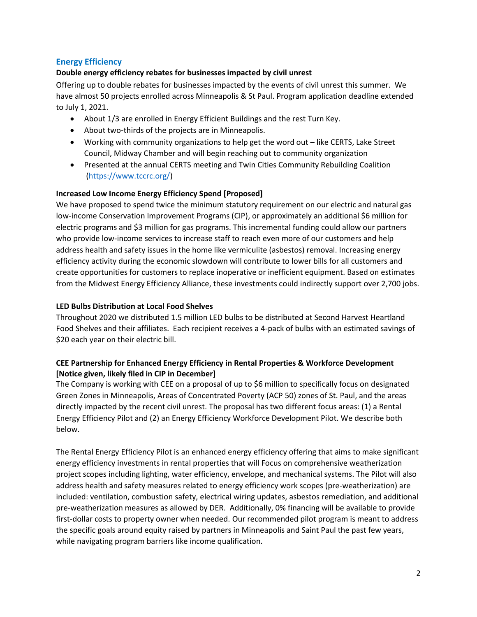# **Energy Efficiency**

# **Double energy efficiency rebates for businesses impacted by civil unrest**

Offering up to double rebates for businesses impacted by the events of civil unrest this summer. We have almost 50 projects enrolled across Minneapolis & St Paul. Program application deadline extended to July 1, 2021.

- About 1/3 are enrolled in Energy Efficient Buildings and the rest Turn Key.
- About two-thirds of the projects are in Minneapolis.
- Working with community organizations to help get the word out like CERTS, Lake Street Council, Midway Chamber and will begin reaching out to community organization
- Presented at the annual CERTS meeting and Twin Cities Community Rebuilding Coalition [\(https://www.tccrc.org/\)](https://www.tccrc.org/)

# **Increased Low Income Energy Efficiency Spend [Proposed]**

We have proposed to spend twice the minimum statutory requirement on our electric and natural gas low-income Conservation Improvement Programs (CIP), or approximately an additional \$6 million for electric programs and \$3 million for gas programs. This incremental funding could allow our partners who provide low-income services to increase staff to reach even more of our customers and help address health and safety issues in the home like vermiculite (asbestos) removal. Increasing energy efficiency activity during the economic slowdown will contribute to lower bills for all customers and create opportunities for customers to replace inoperative or inefficient equipment. Based on estimates from the Midwest Energy Efficiency Alliance, these investments could indirectly support over 2,700 jobs.

### **LED Bulbs Distribution at Local Food Shelves**

Throughout 2020 we distributed 1.5 million LED bulbs to be distributed at Second Harvest Heartland Food Shelves and their affiliates. Each recipient receives a 4-pack of bulbs with an estimated savings of \$20 each year on their electric bill.

# **CEE Partnership for Enhanced Energy Efficiency in Rental Properties & Workforce Development [Notice given, likely filed in CIP in December]**

The Company is working with CEE on a proposal of up to \$6 million to specifically focus on designated Green Zones in Minneapolis, Areas of Concentrated Poverty (ACP 50) zones of St. Paul, and the areas directly impacted by the recent civil unrest. The proposal has two different focus areas: (1) a Rental Energy Efficiency Pilot and (2) an Energy Efficiency Workforce Development Pilot. We describe both below.

The Rental Energy Efficiency Pilot is an enhanced energy efficiency offering that aims to make significant energy efficiency investments in rental properties that will Focus on comprehensive weatherization project scopes including lighting, water efficiency, envelope, and mechanical systems. The Pilot will also address health and safety measures related to energy efficiency work scopes (pre-weatherization) are included: ventilation, combustion safety, electrical wiring updates, asbestos remediation, and additional pre-weatherization measures as allowed by DER. Additionally, 0% financing will be available to provide first-dollar costs to property owner when needed. Our recommended pilot program is meant to address the specific goals around equity raised by partners in Minneapolis and Saint Paul the past few years, while navigating program barriers like income qualification.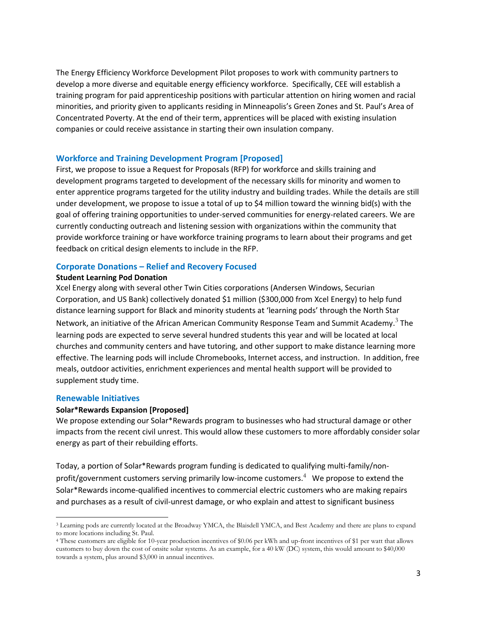The Energy Efficiency Workforce Development Pilot proposes to work with community partners to develop a more diverse and equitable energy efficiency workforce. Specifically, CEE will establish a training program for paid apprenticeship positions with particular attention on hiring women and racial minorities, and priority given to applicants residing in Minneapolis's Green Zones and St. Paul's Area of Concentrated Poverty. At the end of their term, apprentices will be placed with existing insulation companies or could receive assistance in starting their own insulation company.

#### **Workforce and Training Development Program [Proposed]**

First, we propose to issue a Request for Proposals (RFP) for workforce and skills training and development programs targeted to development of the necessary skills for minority and women to enter apprentice programs targeted for the utility industry and building trades. While the details are still under development, we propose to issue a total of up to \$4 million toward the winning bid(s) with the goal of offering training opportunities to under-served communities for energy-related careers. We are currently conducting outreach and listening session with organizations within the community that provide workforce training or have workforce training programs to learn about their programs and get feedback on critical design elements to include in the RFP.

#### **Corporate Donations – Relief and Recovery Focused**

#### **Student Learning Pod Donation**

Xcel Energy along with several other Twin Cities corporations (Andersen Windows, Securian Corporation, and US Bank) collectively donated \$1 million (\$300,000 from Xcel Energy) to help fund distance learning support for Black and minority students at 'learning pods' through the North Star Network, an initiative of the African American Community Response Team and Summit Academy.<sup>3</sup> The learning pods are expected to serve several hundred students this year and will be located at local churches and community centers and have tutoring, and other support to make distance learning more effective. The learning pods will include Chromebooks, Internet access, and instruction. In addition, free meals, outdoor activities, enrichment experiences and mental health support will be provided to supplement study time.

#### **Renewable Initiatives**

#### **Solar\*Rewards Expansion [Proposed]**

We propose extending our Solar\*Rewards program to businesses who had structural damage or other impacts from the recent civil unrest. This would allow these customers to more affordably consider solar energy as part of their rebuilding efforts.

Today, a portion of Solar\*Rewards program funding is dedicated to qualifying multi-family/nonprofit/government customers serving primarily low-income customers.<sup>4</sup> We propose to extend the Solar\*Rewards income-qualified incentives to commercial electric customers who are making repairs and purchases as a result of civil-unrest damage, or who explain and attest to significant business

<sup>3</sup> Learning pods are currently located at the Broadway YMCA, the Blaisdell YMCA, and Best Academy and there are plans to expand to more locations including St. Paul.

<sup>4</sup> These customers are eligible for 10-year production incentives of \$0.06 per kWh and up-front incentives of \$1 per watt that allows customers to buy down the cost of onsite solar systems. As an example, for a 40 kW (DC) system, this would amount to \$40,000 towards a system, plus around \$3,000 in annual incentives.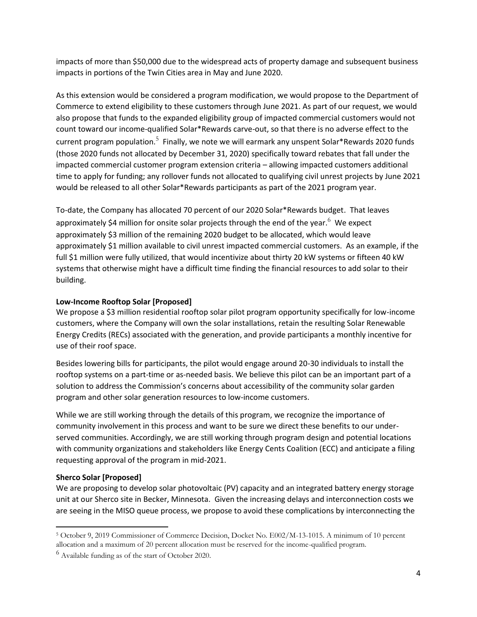impacts of more than \$50,000 due to the widespread acts of property damage and subsequent business impacts in portions of the Twin Cities area in May and June 2020.

As this extension would be considered a program modification, we would propose to the Department of Commerce to extend eligibility to these customers through June 2021. As part of our request, we would also propose that funds to the expanded eligibility group of impacted commercial customers would not count toward our income-qualified Solar\*Rewards carve-out, so that there is no adverse effect to the current program population.<sup>5</sup> Finally, we note we will earmark any unspent Solar\*Rewards 2020 funds (those 2020 funds not allocated by December 31, 2020) specifically toward rebates that fall under the impacted commercial customer program extension criteria – allowing impacted customers additional time to apply for funding; any rollover funds not allocated to qualifying civil unrest projects by June 2021 would be released to all other Solar\*Rewards participants as part of the 2021 program year.

To-date, the Company has allocated 70 percent of our 2020 Solar\*Rewards budget. That leaves approximately \$4 million for onsite solar projects through the end of the year.<sup>6</sup> We expect approximately \$3 million of the remaining 2020 budget to be allocated, which would leave approximately \$1 million available to civil unrest impacted commercial customers. As an example, if the full \$1 million were fully utilized, that would incentivize about thirty 20 kW systems or fifteen 40 kW systems that otherwise might have a difficult time finding the financial resources to add solar to their building.

# **Low-Income Rooftop Solar [Proposed]**

We propose a \$3 million residential rooftop solar pilot program opportunity specifically for low-income customers, where the Company will own the solar installations, retain the resulting Solar Renewable Energy Credits (RECs) associated with the generation, and provide participants a monthly incentive for use of their roof space.

Besides lowering bills for participants, the pilot would engage around 20-30 individuals to install the rooftop systems on a part-time or as-needed basis. We believe this pilot can be an important part of a solution to address the Commission's concerns about accessibility of the community solar garden program and other solar generation resources to low-income customers.

While we are still working through the details of this program, we recognize the importance of community involvement in this process and want to be sure we direct these benefits to our underserved communities. Accordingly, we are still working through program design and potential locations with community organizations and stakeholders like Energy Cents Coalition (ECC) and anticipate a filing requesting approval of the program in mid-2021.

#### **Sherco Solar [Proposed]**

We are proposing to develop solar photovoltaic (PV) capacity and an integrated battery energy storage unit at our Sherco site in Becker, Minnesota. Given the increasing delays and interconnection costs we are seeing in the MISO queue process, we propose to avoid these complications by interconnecting the

<sup>5</sup> October 9, 2019 Commissioner of Commerce Decision, Docket No. E002/M-13-1015. A minimum of 10 percent allocation and a maximum of 20 percent allocation must be reserved for the income-qualified program.

 $<sup>6</sup>$  Available funding as of the start of October 2020.</sup>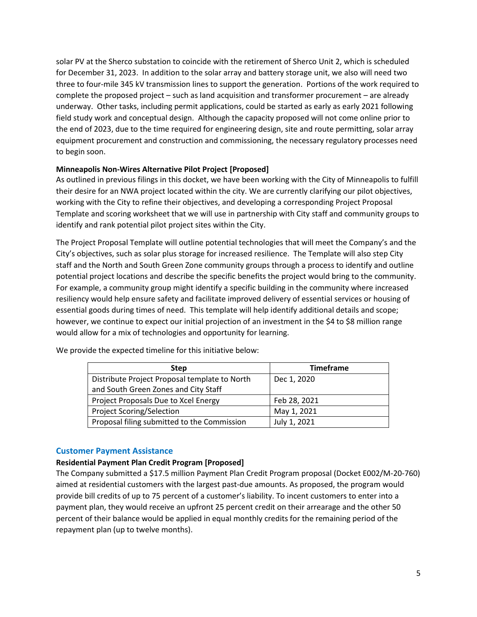solar PV at the Sherco substation to coincide with the retirement of Sherco Unit 2, which is scheduled for December 31, 2023. In addition to the solar array and battery storage unit, we also will need two three to four-mile 345 kV transmission lines to support the generation. Portions of the work required to complete the proposed project – such as land acquisition and transformer procurement – are already underway. Other tasks, including permit applications, could be started as early as early 2021 following field study work and conceptual design. Although the capacity proposed will not come online prior to the end of 2023, due to the time required for engineering design, site and route permitting, solar array equipment procurement and construction and commissioning, the necessary regulatory processes need to begin soon.

#### **Minneapolis Non-Wires Alternative Pilot Project [Proposed]**

As outlined in previous filings in this docket, we have been working with the City of Minneapolis to fulfill their desire for an NWA project located within the city. We are currently clarifying our pilot objectives, working with the City to refine their objectives, and developing a corresponding Project Proposal Template and scoring worksheet that we will use in partnership with City staff and community groups to identify and rank potential pilot project sites within the City.

The Project Proposal Template will outline potential technologies that will meet the Company's and the City's objectives, such as solar plus storage for increased resilience. The Template will also step City staff and the North and South Green Zone community groups through a process to identify and outline potential project locations and describe the specific benefits the project would bring to the community. For example, a community group might identify a specific building in the community where increased resiliency would help ensure safety and facilitate improved delivery of essential services or housing of essential goods during times of need. This template will help identify additional details and scope; however, we continue to expect our initial projection of an investment in the \$4 to \$8 million range would allow for a mix of technologies and opportunity for learning.

| <b>Step</b>                                   | <b>Timeframe</b> |
|-----------------------------------------------|------------------|
| Distribute Project Proposal template to North | Dec 1, 2020      |
| and South Green Zones and City Staff          |                  |
| Project Proposals Due to Xcel Energy          | Feb 28, 2021     |
| <b>Project Scoring/Selection</b>              | May 1, 2021      |
| Proposal filing submitted to the Commission   | July 1, 2021     |

We provide the expected timeline for this initiative below:

#### **Customer Payment Assistance**

#### **Residential Payment Plan Credit Program [Proposed]**

The Company submitted a \$17.5 million Payment Plan Credit Program proposal (Docket E002/M-20-760) aimed at residential customers with the largest past-due amounts. As proposed, the program would provide bill credits of up to 75 percent of a customer's liability. To incent customers to enter into a payment plan, they would receive an upfront 25 percent credit on their arrearage and the other 50 percent of their balance would be applied in equal monthly credits for the remaining period of the repayment plan (up to twelve months).